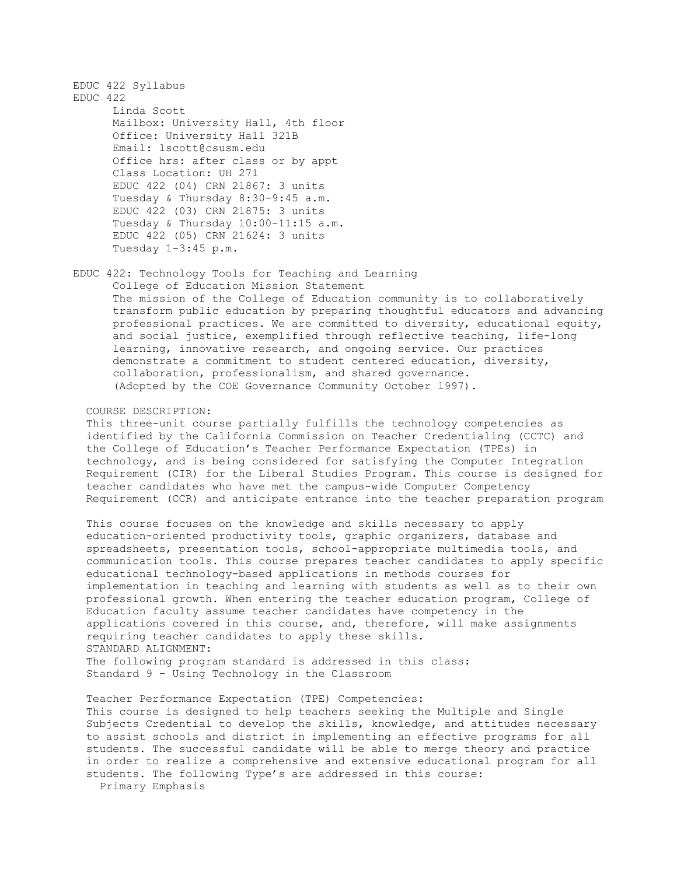EDUC 422 Syllabus EDUC 422 Linda Scott Mailbox: University Hall, 4th floor Office: University Hall 321B Email: lscott@csusm.edu Office hrs: after class or by appt Class Location: UH 271 EDUC 422 (04) CRN 21867: 3 units Tuesday & Thursday 8:30-9:45 a.m. EDUC 422 (03) CRN 21875: 3 units Tuesday & Thursday 10:00-11:15 a.m. EDUC 422 (05) CRN 21624: 3 units Tuesday 1-3:45 p.m.

EDUC 422: Technology Tools for Teaching and Learning College of Education Mission Statement The mission of the College of Education community is to collaboratively transform public education by preparing thoughtful educators and advancing professional practices. We are committed to diversity, educational equity, and social justice, exemplified through reflective teaching, life-long learning, innovative research, and ongoing service. Our practices demonstrate a commitment to student centered education, diversity, collaboration, professionalism, and shared governance. (Adopted by the COE Governance Community October 1997).

COURSE DESCRIPTION:

 This three-unit course partially fulfills the technology competencies as identified by the California Commission on Teacher Credentialing (CCTC) and the College of Education's Teacher Performance Expectation (TPEs) in technology, and is being considered for satisfying the Computer Integration Requirement (CIR) for the Liberal Studies Program. This course is designed for teacher candidates who have met the campus-wide Computer Competency Requirement (CCR) and anticipate entrance into the teacher preparation program

 This course focuses on the knowledge and skills necessary to apply education-oriented productivity tools, graphic organizers, database and spreadsheets, presentation tools, school-appropriate multimedia tools, and communication tools. This course prepares teacher candidates to apply specific educational technology-based applications in methods courses for implementation in teaching and learning with students as well as to their own professional growth. When entering the teacher education program, College of Education faculty assume teacher candidates have competency in the applications covered in this course, and, therefore, will make assignments requiring teacher candidates to apply these skills. STANDARD ALIGNMENT: The following program standard is addressed in this class: Standard 9 – Using Technology in the Classroom

 Teacher Performance Expectation (TPE) Competencies: This course is designed to help teachers seeking the Multiple and Single Subjects Credential to develop the skills, knowledge, and attitudes necessary to assist schools and district in implementing an effective programs for all students. The successful candidate will be able to merge theory and practice in order to realize a comprehensive and extensive educational program for all students. The following Type's are addressed in this course: Primary Emphasis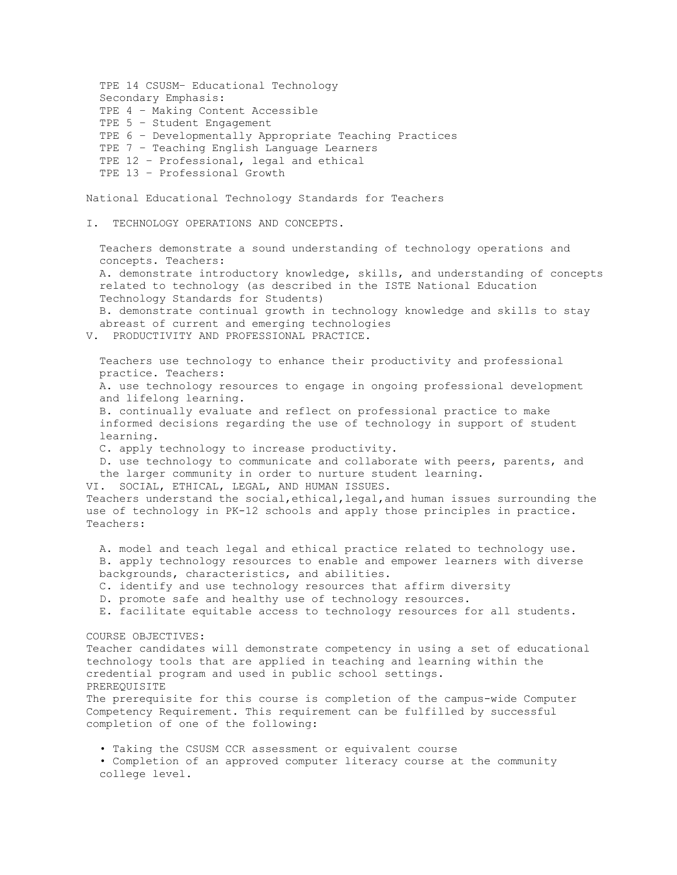TPE 14 CSUSM– Educational Technology Secondary Emphasis: TPE 4 – Making Content Accessible TPE 5 – Student Engagement TPE 6 – Developmentally Appropriate Teaching Practices TPE 7 – Teaching English Language Learners TPE 12 – Professional, legal and ethical TPE 13 – Professional Growth National Educational Technology Standards for Teachers

I. TECHNOLOGY OPERATIONS AND CONCEPTS.

 Teachers demonstrate a sound understanding of technology operations and concepts. Teachers: A. demonstrate introductory knowledge, skills, and understanding of concepts related to technology (as described in the ISTE National Education Technology Standards for Students) B. demonstrate continual growth in technology knowledge and skills to stay abreast of current and emerging technologies

V. PRODUCTIVITY AND PROFESSIONAL PRACTICE.

 Teachers use technology to enhance their productivity and professional practice. Teachers: A. use technology resources to engage in ongoing professional development and lifelong learning.

 B. continually evaluate and reflect on professional practice to make informed decisions regarding the use of technology in support of student learning.

C. apply technology to increase productivity.

 D. use technology to communicate and collaborate with peers, parents, and the larger community in order to nurture student learning.

 VI. SOCIAL, ETHICAL, LEGAL, AND HUMAN ISSUES. Teachers understand the social,ethical,legal,and human issues surrounding the use of technology in PK-12 schools and apply those principles in practice. Teachers:

 A. model and teach legal and ethical practice related to technology use. B. apply technology resources to enable and empower learners with diverse backgrounds, characteristics, and abilities.

- C. identify and use technology resources that affirm diversity
- D. promote safe and healthy use of technology resources.

E. facilitate equitable access to technology resources for all students.

COURSE OBJECTIVES:

 Teacher candidates will demonstrate competency in using a set of educational technology tools that are applied in teaching and learning within the credential program and used in public school settings. PREREQUISITE The prerequisite for this course is completion of the campus-wide Computer Competency Requirement. This requirement can be fulfilled by successful completion of one of the following:

 • Taking the CSUSM CCR assessment or equivalent course • Completion of an approved computer literacy course at the community college level.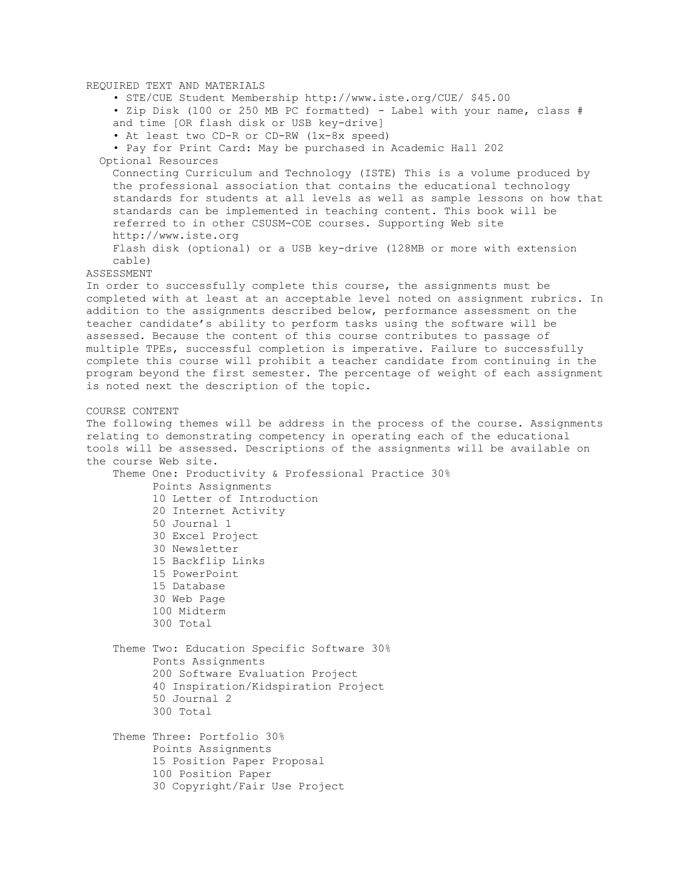REQUIRED TEXT AND MATERIALS • STE/CUE Student Membership http://www.iste.org/CUE/ \$45.00 • Zip Disk (100 or 250 MB PC formatted) - Label with your name, class # and time [OR flash disk or USB key-drive] • At least two CD-R or CD-RW (1x-8x speed) • Pay for Print Card: May be purchased in Academic Hall 202 Optional Resources Connecting Curriculum and Technology (ISTE) This is a volume produced by the professional association that contains the educational technology standards for students at all levels as well as sample lessons on how that standards can be implemented in teaching content. This book will be referred to in other CSUSM-COE courses. Supporting Web site http://www.iste.org Flash disk (optional) or a USB key-drive (128MB or more with extension cable) ASSESSMENT In order to successfully complete this course, the assignments must be completed with at least at an acceptable level noted on assignment rubrics. In addition to the assignments described below, performance assessment on the teacher candidate's ability to perform tasks using the software will be assessed. Because the content of this course contributes to passage of multiple TPEs, successful completion is imperative. Failure to successfully complete this course will prohibit a teacher candidate from continuing in the program beyond the first semester. The percentage of weight of each assignment is noted next the description of the topic. COURSE CONTENT The following themes will be address in the process of the course. Assignments relating to demonstrating competency in operating each of the educational tools will be assessed. Descriptions of the assignments will be available on the course Web site. Theme One: Productivity & Professional Practice 30% Points Assignments 10 Letter of Introduction 20 Internet Activity 50 Journal 1 30 Excel Project 30 Newsletter 15 Backflip Links 15 PowerPoint 15 Database 30 Web Page 100 Midterm 300 Total Theme Two: Education Specific Software 30% Ponts Assignments 200 Software Evaluation Project 40 Inspiration/Kidspiration Project 50 Journal 2 300 Total Theme Three: Portfolio 30% Points Assignments 15 Position Paper Proposal 100 Position Paper 30 Copyright/Fair Use Project